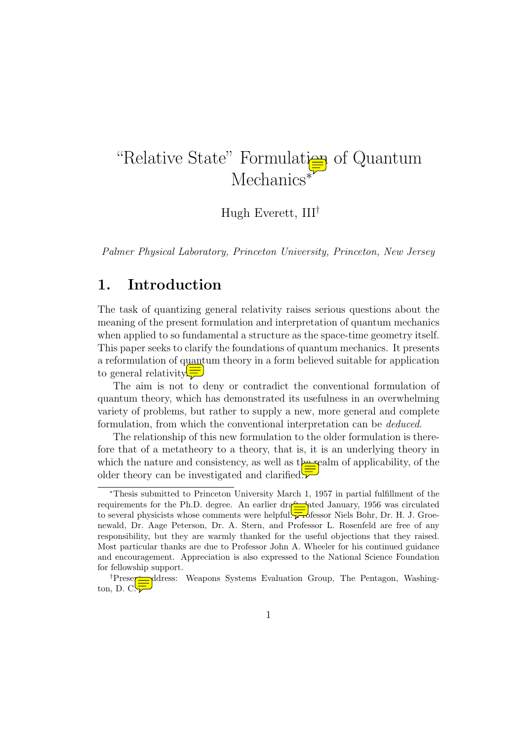# "Relative State" Formulation of Quantum Mechanics<sup>\*</sup>

Hugh Everett, III†

Palmer Physical Laboratory, Princeton University, Princeton, New Jersey

### 1. Introduction

The task of quantizing general relativity raises serious questions about the meaning of the present formulation and interpretation of quantum mechanics when applied to so fundamental a structure as the space-time geometry itself. This paper seeks to clarify the foundations of quantum mechanics. It presents a reformulation of quantum theory in a form believed suitable for application to general relativity

The aim is not to deny or contradict the conventional formulation of quantum theory, which has demonstrated its usefulness in an overwhelming variety of problems, but rather to supply a new, more general and complete formulation, from which the conventional interpretation can be deduced.

The relationship of this new formulation to the older formulation is therefore that of a metatheory to a theory, that is, it is an underlying theory in which the nature and consistency, as well as the realm of applicability, of the older theory can be investigated and clarified.

<sup>∗</sup>Thesis submitted to Princeton University March 1, 1957 in partial fulfillment of the requirements for the Ph.D. degree. An earlier dra $f$ ted January, 1956 was circulated to several physicists whose comments were helpful.  $\frac{1}{\sqrt{1}}$  of essor Niels Bohr, Dr. H. J. Groenewald, Dr. Aage Peterson, Dr. A. Stern, and Professor L. Rosenfeld are free of any responsibility, but they are warmly thanked for the useful objections that they raised. Most particular thanks are due to Professor John A. Wheeler for his continued guidance and encouragement. Appreciation is also expressed to the National Science Foundation for fellowship support.

<sup>&</sup>lt;sup>†</sup>Present address: Weapons Systems Evaluation Group, The Pentagon, Washington, D. C.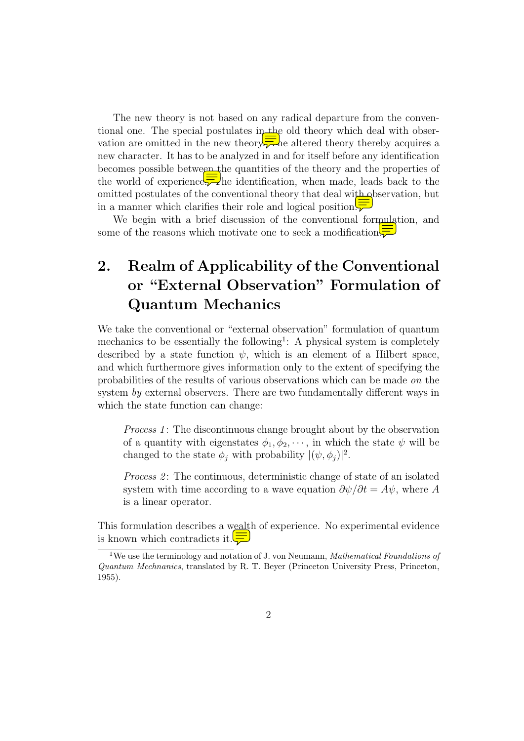The new theory is not based on any radical departure from the conventional one. The special postulates in the old theory which deal with observation are omitted in the new theory. The altered theory thereby acquires a new character. It has to be analyzed in and for itself before any identification becomes possible between the quantities of the theory and the properties of the world of experience.  $\sqrt{2}$  he identification, when made, leads back to the omitted postulates of the conventional theory that deal with observation, but in a manner which clarifies their role and logical position.

We begin with a brief discussion of the conventional formulation, and some of the reasons which motivate one to seek a modification.

## 2. Realm of Applicability of the Conventional or "External Observation" Formulation of Quantum Mechanics

We take the conventional or "external observation" formulation of quantum mechanics to be essentially the following<sup>1</sup>: A physical system is completely described by a state function  $\psi$ , which is an element of a Hilbert space, and which furthermore gives information only to the extent of specifying the probabilities of the results of various observations which can be made on the system by external observers. There are two fundamentally different ways in which the state function can change:

Process 1: The discontinuous change brought about by the observation of a quantity with eigenstates  $\phi_1, \phi_2, \cdots$ , in which the state  $\psi$  will be changed to the state  $\phi_j$  with probability  $|(\psi, \phi_j)|^2$ .

*Process 2*: The continuous, deterministic change of state of an isolated system with time according to a wave equation  $\partial \psi / \partial t = A \psi$ , where A is a linear operator.

This formulation describes a wealth of experience. No experimental evidence is known which contradicts it.  $\frac{1}{\sqrt{2}}$ 

<sup>1</sup>We use the terminology and notation of J. von Neumann, Mathematical Foundations of Quantum Mechnanics, translated by R. T. Beyer (Princeton University Press, Princeton, 1955).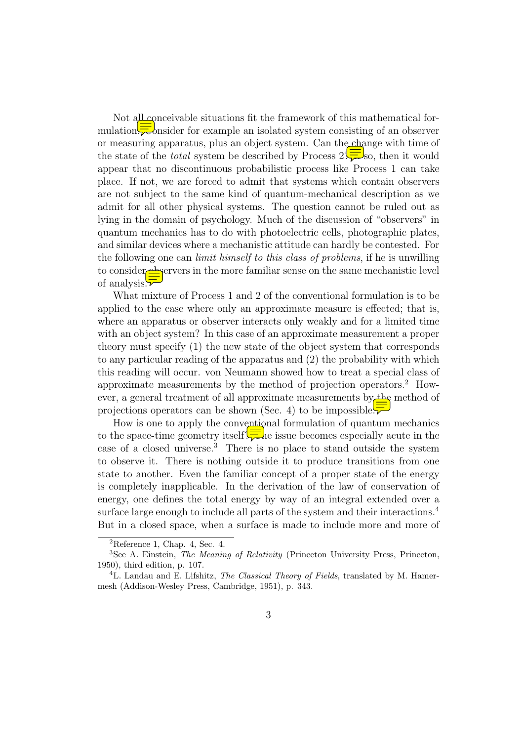Not all conceivable situations fit the framework of this mathematical formulation.  $\frac{1}{\sqrt{2}}$  onsider for example an isolated system consisting of an observer or measuring apparatus, plus an object system. Can the change with time of the state of the *total* system be described by Process  $2\sqrt{2}$  so, then it would appear that no discontinuous probabilistic process like Process 1 can take place. If not, we are forced to admit that systems which contain observers are not subject to the same kind of quantum-mechanical description as we admit for all other physical systems. The question cannot be ruled out as lying in the domain of psychology. Much of the discussion of "observers" in quantum mechanics has to do with photoelectric cells, photographic plates, and similar devices where a mechanistic attitude can hardly be contested. For the following one can limit himself to this class of problems, if he is unwilling to consider **observers** in the more familiar sense on the same mechanistic level of analysis. $\overline{\mathbf{v}}$ 

What mixture of Process 1 and 2 of the conventional formulation is to be applied to the case where only an approximate measure is effected; that is, where an apparatus or observer interacts only weakly and for a limited time with an object system? In this case of an approximate measurement a proper theory must specify (1) the new state of the object system that corresponds to any particular reading of the apparatus and (2) the probability with which this reading will occur. von Neumann showed how to treat a special class of approximate measurements by the method of projection operators.<sup>2</sup> However, a general treatment of all approximate measurements by  $\pm \log$  method of projections operators can be shown (Sec. 4) to be impossible.

How is one to apply the conventional formulation of quantum mechanics to the space-time geometry itself?  $\sqrt{2}$  he issue becomes especially acute in the case of a closed universe.<sup>3</sup> There is no place to stand outside the system to observe it. There is nothing outside it to produce transitions from one state to another. Even the familiar concept of a proper state of the energy is completely inapplicable. In the derivation of the law of conservation of energy, one defines the total energy by way of an integral extended over a surface large enough to include all parts of the system and their interactions.<sup>4</sup> But in a closed space, when a surface is made to include more and more of

 ${}^{2}$ Reference 1, Chap. 4, Sec. 4.

 $3$ See A. Einstein, *The Meaning of Relativity* (Princeton University Press, Princeton, 1950), third edition, p. 107.

<sup>&</sup>lt;sup>4</sup>L. Landau and E. Lifshitz, *The Classical Theory of Fields*, translated by M. Hamermesh (Addison-Wesley Press, Cambridge, 1951), p. 343.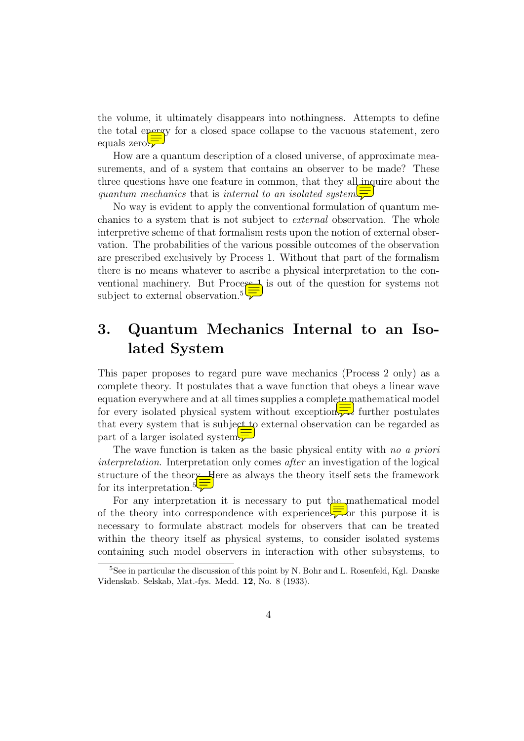the volume, it ultimately disappears into nothingness. Attempts to define the total evergy for a closed space collapse to the vacuous statement, zero equals zero. $\sqrt{2}$ 

How are a quantum description of a closed universe, of approximate measurements, and of a system that contains an observer to be made? These three questions have one feature in common, that they all inquire about the quantum mechanics that is internal to an isolated system.

No way is evident to apply the conventional formulation of quantum mechanics to a system that is not subject to external observation. The whole interpretive scheme of that formalism rests upon the notion of external observation. The probabilities of the various possible outcomes of the observation are prescribed exclusively by Process 1. Without that part of the formalism there is no means whatever to ascribe a physical interpretation to the conventional machinery. But Process  $\frac{1}{2}$  is out of the question for systems not subject to external observation.<sup>5</sup>

## 3. Quantum Mechanics Internal to an Isolated System

This paper proposes to regard pure wave mechanics (Process 2 only) as a complete theory. It postulates that a wave function that obeys a linear wave equation everywhere and at all times supplies a complete mathematical model for every isolated physical system without exception. It further postulates that every system that is subject to external observation can be regarded as part of a larger isolated system.

The wave function is taken as the basic physical entity with no a priori interpretation. Interpretation only comes after an investigation of the logical structure of the theory. Here as always the theory itself sets the framework for its interpretation.<sup>5</sup> $\sqrt{\phantom{a}}$ 

For any interpretation it is necessary to put the mathematical model of the theory into correspondence with experience.  $\sqrt{\frac{1}{\sigma}}$  or this purpose it is necessary to formulate abstract models for observers that can be treated within the theory itself as physical systems, to consider isolated systems containing such model observers in interaction with other subsystems, to

<sup>&</sup>lt;sup>5</sup>See in particular the discussion of this point by N. Bohr and L. Rosenfeld, Kgl. Danske Videnskab. Selskab, Mat.-fys. Medd. 12, No. 8 (1933).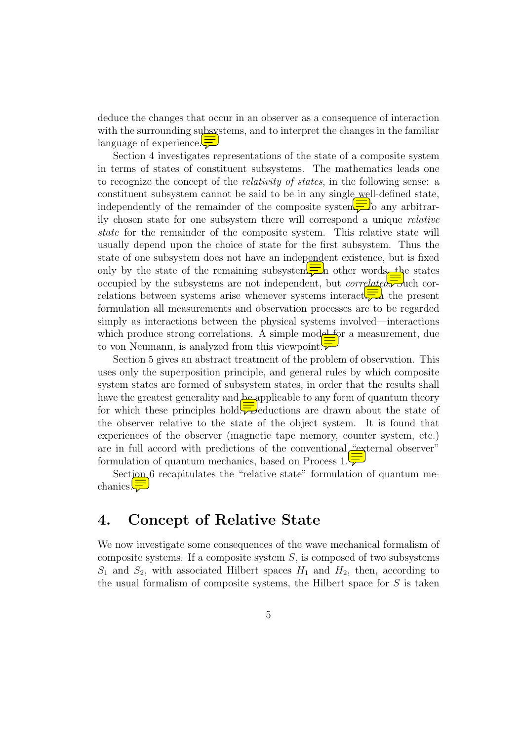deduce the changes that occur in an observer as a consequence of interaction with the surrounding subsystems, and to interpret the changes in the familiar language of experience. $\sqrt{\frac{1}{\epsilon}}$ 

Section 4 investigates representations of the state of a composite system in terms of states of constituent subsystems. The mathematics leads one to recognize the concept of the relativity of states, in the following sense: a constituent subsystem cannot be said to be in any single well-defined state, independently of the remainder of the composite system $\frac{1}{\sqrt{2}}$  any arbitrarily chosen state for one subsystem there will correspond a unique relative state for the remainder of the composite system. This relative state will usually depend upon the choice of state for the first subsystem. Thus the state of one subsystem does not have an independent existence, but is fixed only by the state of the remaining subsystem $\frac{1}{2}$  other words, the states occupied by the subsystems are not independent, but *correlated*. Such correlations between systems arise whenever systems interact. In the present formulation all measurements and observation processes are to be regarded simply as interactions between the physical systems involved—interactions which produce strong correlations. A simple model for a measurement, due to von Neumann, is analyzed from this viewpoint.

Section 5 gives an abstract treatment of the problem of observation. This uses only the superposition principle, and general rules by which composite system states are formed of subsystem states, in order that the results shall have the greatest generality and  $\underline{\lambda e}$  applicable to any form of quantum theory for which these principles hold.  $\sqrt{ }$  eductions are drawn about the state of the observer relative to the state of the object system. It is found that experiences of the observer (magnetic tape memory, counter system, etc.) are in full accord with predictions of the conventional "external observer" formulation of quantum mechanics, based on Process  $1.\overline{\overline{z}}$ 

Section 6 recapitulates the "relative state" formulation of quantum mechanics. $\sqrt{2}$ 

### 4. Concept of Relative State

We now investigate some consequences of the wave mechanical formalism of composite systems. If a composite system  $S$ , is composed of two subsystems  $S_1$  and  $S_2$ , with associated Hilbert spaces  $H_1$  and  $H_2$ , then, according to the usual formalism of composite systems, the Hilbert space for  $S$  is taken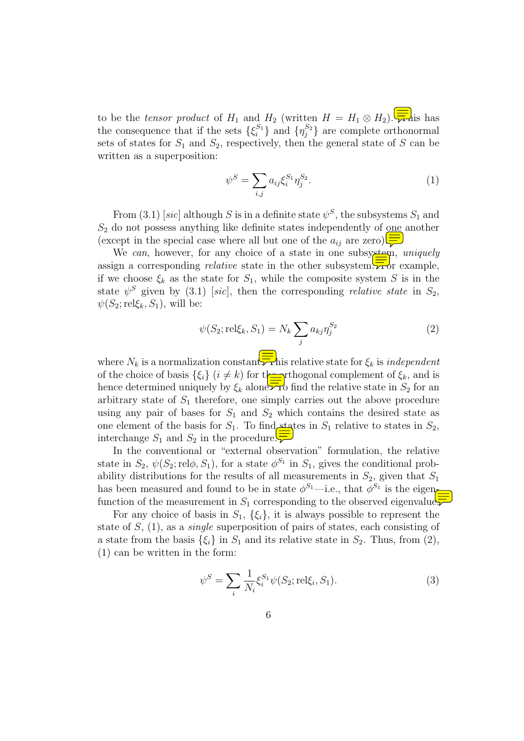to be the tensor product of  $H_1$  and  $H_2$  (written  $H = H_1 \otimes H_2$ ).  $\overline{\overline{H}}$  his has the consequence that if the sets  $\{\xi_i^{S_1}\}\$ and  $\{\eta_j^{S_2}\}\$ are complete orthonormal sets of states for  $S_1$  and  $S_2$ , respectively, then the general state of S can be written as a superposition:

$$
\psi^S = \sum_{i,j} a_{ij} \xi_i^{S_1} \eta_j^{S_2}.
$$
 (1)

From (3.1) [sic] although S is in a definite state  $\psi^S$ , the subsystems  $S_1$  and  $S<sub>2</sub>$  do not possess anything like definite states independently of one another (except in the special case where all but one of the  $a_{ij}$  are zero) $\left| \right|$ .

We can, however, for any choice of a state in one subsyctom, uniquely assign a corresponding *relative* state in the other subsystem.  $\overline{\mathbf{r}}$  or example, if we choose  $\xi_k$  as the state for  $S_1$ , while the composite system S is in the state  $\psi^S$  given by (3.1) [sic], then the corresponding *relative state* in  $S_2$ ,  $\psi(S_2; \mathrm{rel}\xi_k, S_1)$ , will be:

$$
\psi(S_2; \operatorname{rel}\xi_k, S_1) = N_k \sum_j a_{kj} \eta_j^{S_2} \tag{2}
$$

where  $N_k$  is a normalization constant. This relative state for  $\xi_k$  is *independent* of the choice of basis  $\{\xi_i\}$   $(i \neq k)$  for the orthogonal complement of  $\xi_k$ , and is hence determined uniquely by  $\xi_k$  alone. To find the relative state in  $S_2$  for an arbitrary state of  $S_1$  therefore, one simply carries out the above procedure using any pair of bases for  $S_1$  and  $S_2$  which contains the desired state as one element of the basis for  $S_1$ . To find states in  $S_1$  relative to states in  $S_2$ , interchange  $S_1$  and  $S_2$  in the procedure.

In the conventional or "external observation" formulation, the relative state in  $S_2$ ,  $\psi(S_2; \mathrm{rel}\phi, S_1)$ , for a state  $\phi^{S_1}$  in  $S_1$ , gives the conditional probability distributions for the results of all measurements in  $S_2$ , given that  $S_1$ has been measured and found to be in state  $\phi^{S_1}$ —i.e., that  $\phi^{S_1}$  is the eigenfunction of the measurement in  $S_1$  corresponding to the observed eigenvalue.

For any choice of basis in  $S_1$ ,  $\{\xi_i\}$ , it is always possible to represent the state of  $S$ ,  $(1)$ , as a *single* superposition of pairs of states, each consisting of a state from the basis  $\{\xi_i\}$  in  $S_1$  and its relative state in  $S_2$ . Thus, from (2), (1) can be written in the form:

$$
\psi^{S} = \sum_{i} \frac{1}{N_{i}} \xi_{i}^{S_{1}} \psi(S_{2}; \text{rel}\xi_{i}, S_{1}).
$$
\n(3)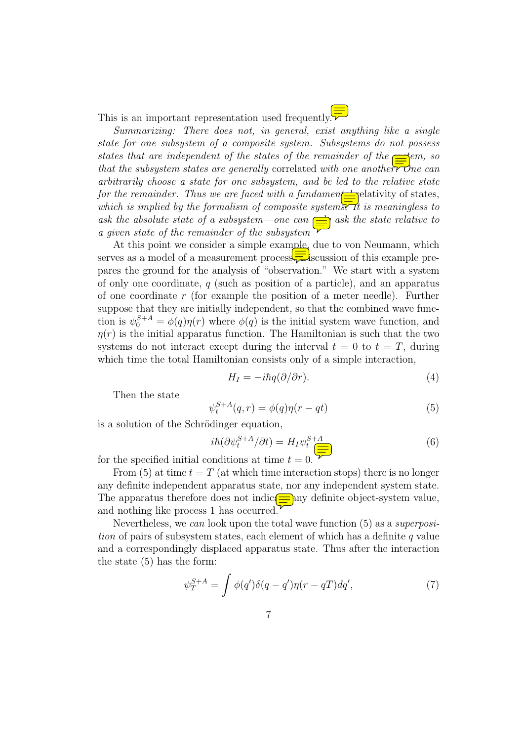This is an important representation used frequently.  $\frac{1}{\sqrt{2\pi}}$ 

Summarizing: There does not, in general, exist anything like a single state for one subsystem of a composite system. Subsystems do not possess states that are independent of the states of the remainder of the  $\equiv$  em, so that the subsystem states are generally correlated with one another. One can arbitrarily choose a state for one subsystem, and be led to the relative state for the remainder. Thus we are faced with a fundamen $\frac{1}{\sqrt{2}}$  relativity of states, which is implied by the formalism of composite systems. It is meaningless to ask the absolute state of a subsystem—one can  $\implies$  ask the state relative to a given state of the remainder of the subsystem

At this point we consider a simple example, due to von Neumann, which serves as a model of a measurement process.  $\frac{1}{\sqrt{2}}$  scussion of this example prepares the ground for the analysis of "observation." We start with a system of only one coordinate,  $q$  (such as position of a particle), and an apparatus of one coordinate r (for example the position of a meter needle). Further suppose that they are initially independent, so that the combined wave function is  $\psi_0^{S+A} = \phi(q)\eta(r)$  where  $\phi(q)$  is the initial system wave function, and  $\eta(r)$  is the initial apparatus function. The Hamiltonian is such that the two systems do not interact except during the interval  $t = 0$  to  $t = T$ , during which time the total Hamiltonian consists only of a simple interaction,

$$
H_I = -i\hbar q(\partial/\partial r). \tag{4}
$$

Then the state

$$
\psi_t^{S+A}(q,r) = \phi(q)\eta(r-qt) \tag{5}
$$

is a solution of the Schrödinger equation,

$$
i\hbar(\partial \psi_t^{S+A} / \partial t) = H_I \psi_t^{S+A}
$$
\n<sup>(6)</sup>

for the specified initial conditions at time  $t = 0$ .

From (5) at time  $t = T$  (at which time interaction stops) there is no longer any definite independent apparatus state, nor any independent system state. The apparatus therefore does not indic $\equiv$  any definite object-system value, and nothing like process 1 has occurred.

Nevertheless, we can look upon the total wave function (5) as a superposition of pairs of subsystem states, each element of which has a definite  $q$  value and a correspondingly displaced apparatus state. Thus after the interaction the state (5) has the form:

$$
\psi_T^{S+A} = \int \phi(q')\delta(q-q')\eta(r-qT)dq',\tag{7}
$$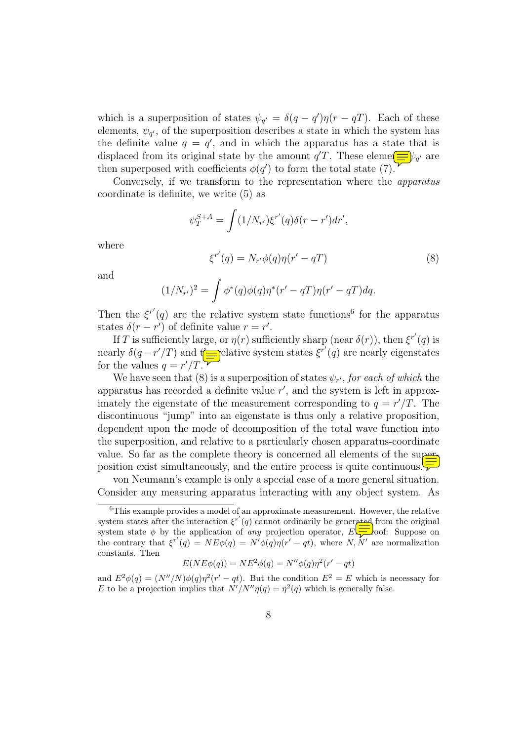which is a superposition of states  $\psi_{q'} = \delta(q - q')\eta(r - qT)$ . Each of these elements,  $\psi_{q'}$ , of the superposition describes a state in which the system has the definite value  $q = q'$ , and in which the apparatus has a state that is displaced from its original state by the amount  $qT$ . These eleme $\equiv \psi_{q'}$  are then superposed with coefficients  $\phi(q')$  to form the total state (7).

Conversely, if we transform to the representation where the apparatus coordinate is definite, we write (5) as

$$
\psi_T^{S+A} = \int (1/N_{r'})\xi^{r'}(q)\delta(r-r')dr',
$$
  

$$
\xi^{r'}(q) = N_{r'}\phi(q)\eta(r'-qT)
$$
 (8)

and

where

$$
(1/N_{r'})^2 = \int \phi^*(q)\phi(q)\eta^*(r'-qT)\eta(r'-qT)dq.
$$

Then the  $\xi^{r'}(q)$  are the relative system state functions<sup>6</sup> for the apparatus states  $\delta(r - r')$  of definite value  $r = r'$ .

If T is sufficiently large, or  $\eta(r)$  sufficiently sharp (near  $\delta(r)$ ), then  $\xi^{r'}(q)$  is nearly  $\delta(q-r'/T)$  and to relative system states  $\xi^{r'}(q)$  are nearly eigenstates for the values  $q = r'/T$ .

We have seen that (8) is a superposition of states  $\psi_{r'}$ , for each of which the apparatus has recorded a definite value  $r'$ , and the system is left in approximately the eigenstate of the measurement corresponding to  $q = r'/T$ . The discontinuous "jump" into an eigenstate is thus only a relative proposition, dependent upon the mode of decomposition of the total wave function into the superposition, and relative to a particularly chosen apparatus-coordinate value. So far as the complete theory is concerned all elements of the superposition exist simultaneously, and the entire process is quite continuous.

von Neumann's example is only a special case of a more general situation. Consider any measuring apparatus interacting with any object system. As

$$
E(NE\phi(q)) = NE^2\phi(q) = N''\phi(q)\eta^2(r'-qt)
$$

and  $E^2\phi(q) = (N''/N)\phi(q)\eta^2(r'-qt)$ . But the condition  $E^2 = E$  which is necessary for E to be a projection implies that  $N'/N''\eta(q) = \eta^2(q)$  which is generally false.

 $6$ This example provides a model of an approximate measurement. However, the relative system states after the interaction  $\xi^{r'}(q)$  cannot ordinarily be generated from the original system state  $\phi$  by the application of any projection operator,  $E\leftarrow$  oof: Suppose on the contrary that  $\xi^{r'}(q) = NE\phi(q) = N'\phi(q)\eta(r'-qt)$ , where N, N' are normalization constants. Then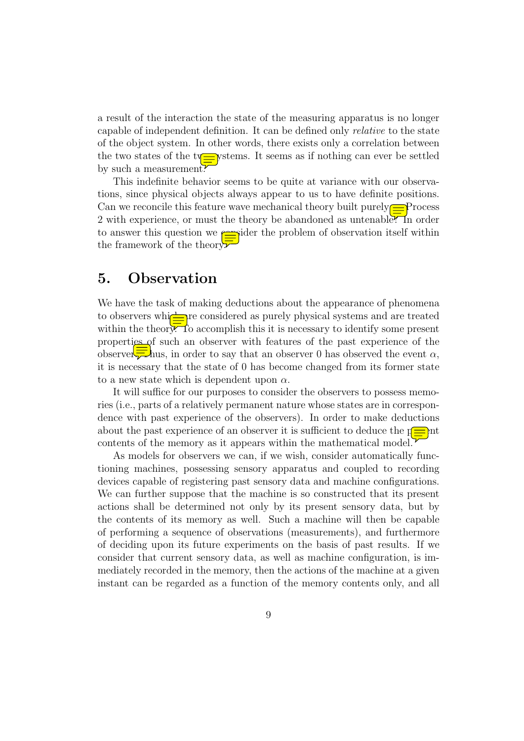a result of the interaction the state of the measuring apparatus is no longer capable of independent definition. It can be defined only relative to the state of the object system. In other words, there exists only a correlation between the two states of the two states of the two states. It seems as if nothing can ever be settled by such a measurement.

This indefinite behavior seems to be quite at variance with our observations, since physical objects always appear to us to have definite positions. Can we reconcile this feature wave mechanical theory built purely  $\equiv$  Process 2 with experience, or must the theory be abandoned as untenable? In order to answer this question we  $\epsilon$  ider the problem of observation itself within the framework of the theory.

#### 5. Observation

We have the task of making deductions about the appearance of phenomena to observers which are considered as purely physical systems and are treated within the theory. To accomplish this it is necessary to identify some present properties of such an observer with features of the past experience of the observer. Thus, in order to say that an observer 0 has observed the event  $\alpha$ , it is necessary that the state of 0 has become changed from its former state to a new state which is dependent upon  $\alpha$ .

It will suffice for our purposes to consider the observers to possess memories (i.e., parts of a relatively permanent nature whose states are in correspondence with past experience of the observers). In order to make deductions about the past experience of an observer it is sufficient to deduce the  $p\equiv$ ht contents of the memory as it appears within the mathematical model.

As models for observers we can, if we wish, consider automatically functioning machines, possessing sensory apparatus and coupled to recording devices capable of registering past sensory data and machine configurations. We can further suppose that the machine is so constructed that its present actions shall be determined not only by its present sensory data, but by the contents of its memory as well. Such a machine will then be capable of performing a sequence of observations (measurements), and furthermore of deciding upon its future experiments on the basis of past results. If we consider that current sensory data, as well as machine configuration, is immediately recorded in the memory, then the actions of the machine at a given instant can be regarded as a function of the memory contents only, and all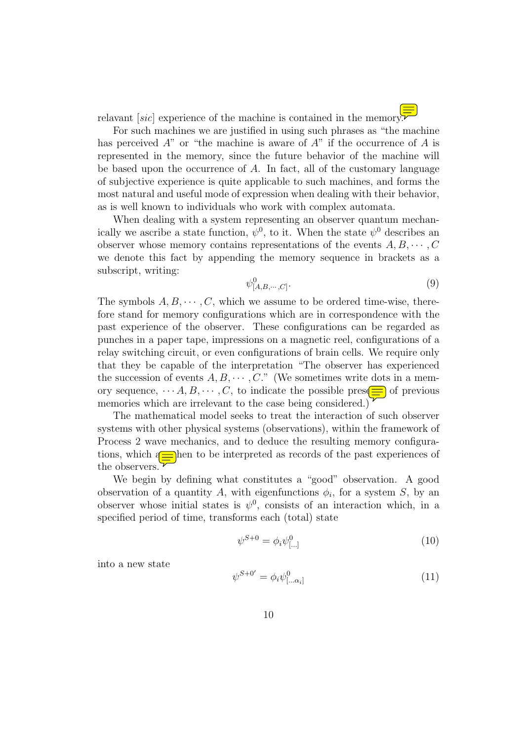relavant [sic] experience of the machine is contained in the memory.

For such machines we are justified in using such phrases as "the machine has perceived  $A^{\prime\prime}$  or "the machine is aware of  $A^{\prime\prime}$  if the occurrence of A is represented in the memory, since the future behavior of the machine will be based upon the occurrence of A. In fact, all of the customary language of subjective experience is quite applicable to such machines, and forms the most natural and useful mode of expression when dealing with their behavior, as is well known to individuals who work with complex automata.

When dealing with a system representing an observer quantum mechanically we ascribe a state function,  $\psi^0$ , to it. When the state  $\psi^0$  describes an observer whose memory contains representations of the events  $A, B, \cdots, C$ we denote this fact by appending the memory sequence in brackets as a subscript, writing:  $\sim$ 

$$
\psi^0_{[A,B,\cdots,C]}.\tag{9}
$$

The symbols  $A, B, \dots, C$ , which we assume to be ordered time-wise, therefore stand for memory configurations which are in correspondence with the past experience of the observer. These configurations can be regarded as punches in a paper tape, impressions on a magnetic reel, configurations of a relay switching circuit, or even configurations of brain cells. We require only that they be capable of the interpretation "The observer has experienced the succession of events  $A, B, \cdots, C$ ." (We sometimes write dots in a memory sequence,  $\cdots A, B, \cdots, C$ , to indicate the possible prese $\equiv$  of previous memories which are irrelevant to the case being considered.)

The mathematical model seeks to treat the interaction of such observer systems with other physical systems (observations), within the framework of Process 2 wave mechanics, and to deduce the resulting memory configurations, which  $a\equiv$  hen to be interpreted as records of the past experiences of the observers.

We begin by defining what constitutes a "good" observation. A good observation of a quantity A, with eigenfunctions  $\phi_i$ , for a system S, by an observer whose initial states is  $\psi^0$ , consists of an interaction which, in a specified period of time, transforms each (total) state

$$
\psi^{S+0} = \phi_i \psi^0_{[...]}
$$
 (10)

into a new state

$$
\psi^{S+0'} = \phi_i \psi^0_{[\dots \alpha_i]}
$$
\n(11)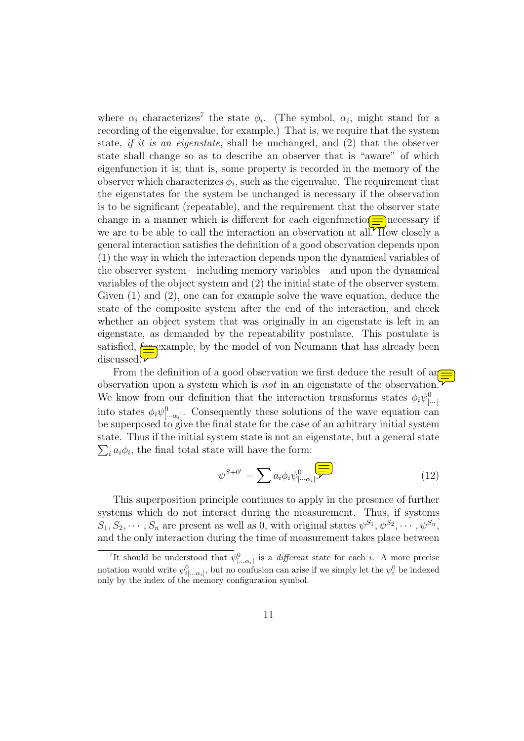where  $\alpha_i$  characterizes<sup>7</sup> the state  $\phi_i$ . (The symbol,  $\alpha_i$ , might stand for a recording of the eigenvalue, for example.) That is, we require that the system state, *if it is an eigenstate*, shall be unchanged, and  $(2)$  that the observer state shall change so as to describe an observer that is "aware" of which eigenfunction it is; that is, some property is recorded in the memory of the observer which characterizes  $\phi_i$ , such as the eigenvalue. The requirement that the eigenstates for the system be unchanged is necessary if the observation is to be significant (repeatable), and the requirement that the observer state change in a manner which is different for each eigenfunction  $\equiv$  necessary if we are to be able to call the interaction an observation at all. How closely a general interaction satisfies the definition of a good observation depends upon (1) the way in which the interaction depends upon the dynamical variables of the observer system—including memory variables—and upon the dynamical variables of the object system and (2) the initial state of the observer system. Given  $(1)$  and  $(2)$ , one can for example solve the wave equation, deduce the state of the composite system after the end of the interaction, and check whether an object system that was originally in an eigenstate is left in an eigenstate, as demanded by the repeatability postulate. This postulate is satisfied,  $f_{\text{max}}$  example, by the model of von Neumann that has already been discussed.

From the definition of a good observation we first deduce the result of and  $\frac{1}{\sqrt{2}}$ observation upon a system which is *not* in an eigenstate of the observation.<sup>7</sup> We know from our definition that the interaction transforms states  $\phi_i \psi_{\lceil \dots \rceil}^0$ into states  $\phi_i \psi_{[\cdot \cdot \cdot \alpha_i]}^0$ . Consequently these solutions of the wave equation can be superposed to give the final state for the case of an arbitrary initial system state. Thus if the initial system state is not an eigenstate, but a general state  $\sum_i a_i \phi_i$ , the final total state will have the form:

$$
\psi^{S+0'} = \sum a_i \phi_i \psi^0_{[\cdots \alpha_i]} \overline{\overline{\mathcal{F}}} \tag{12}
$$

This superposition principle continues to apply in the presence of further systems which do not interact during the measurement. Thus, if systems  $S_1, S_2, \cdots, S_n$  are present as well as 0, with original states  $\psi^{S_1}, \psi^{S_2}, \cdots, \psi^{S_n}$ , and the only interaction during the time of measurement takes place between

<sup>&</sup>lt;sup>7</sup>It should be understood that  $\psi^0_{[...a_i]}$  is a *different* state for each *i*. A more precise notation would write  $\psi^0_{i[\ldots \alpha_i]}$ , but no confusion can arise if we simply let the  $\psi^0_i$  be indexed only by the index of the memory configuration symbol.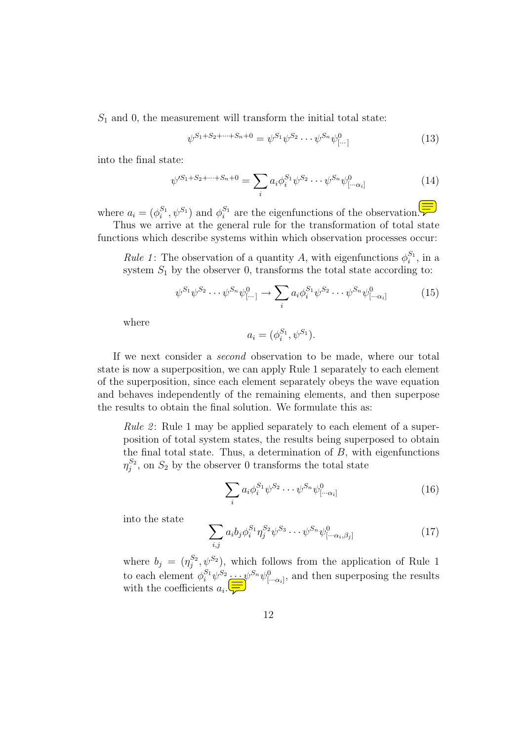$S_1$  and 0, the measurement will transform the initial total state:

$$
\psi^{S_1 + S_2 + \dots + S_n + 0} = \psi^{S_1} \psi^{S_2} \dots \psi^{S_n} \psi^0_{[\dots]}
$$
\n(13)

into the final state:

$$
\psi'^{S_1 + S_2 + \dots + S_n + 0} = \sum_i a_i \phi_i^{S_1} \psi^{S_2} \cdots \psi^{S_n} \psi_{[\cdots \alpha_i]}^0 \tag{14}
$$

where  $a_i = (\phi_i^{S_1}, \psi^{S_1})$  and  $\phi_i^{S_1}$  are the eigenfunctions of the observation.

Thus we arrive at the general rule for the transformation of total state functions which describe systems within which observation processes occur:

*Rule 1*: The observation of a quantity A, with eigenfunctions  $\phi_i^{S_1}$ , in a system  $S_1$  by the observer 0, transforms the total state according to:

$$
\psi^{S_1}\psi^{S_2}\cdots\psi^{S_n}\psi^0_{[\cdots]} \to \sum_i a_i \phi_i^{S_1}\psi^{S_2}\cdots\psi^{S_n}\psi^0_{[\cdots\alpha_i]}
$$
(15)

where

$$
a_i = (\phi_i^{S_1}, \psi^{S_1}).
$$

If we next consider a second observation to be made, where our total state is now a superposition, we can apply Rule 1 separately to each element of the superposition, since each element separately obeys the wave equation and behaves independently of the remaining elements, and then superpose the results to obtain the final solution. We formulate this as:

*Rule 2*: Rule 1 may be applied separately to each element of a superposition of total system states, the results being superposed to obtain the final total state. Thus, a determination of  $B$ , with eigenfunctions  $\eta_j^{S_2}$ , on  $S_2$  by the observer 0 transforms the total state

$$
\sum_{i} a_i \phi_i^{S_1} \psi^{S_2} \cdots \psi^{S_n} \psi_{[\cdots \alpha_i]}^0 \tag{16}
$$

into the state

$$
\sum_{i,j} a_i b_j \phi_i^{S_1} \eta_j^{S_2} \psi^{S_3} \cdots \psi^{S_n} \psi^0_{[\cdots \alpha_i, \beta_j]}
$$
 (17)

where  $b_j = (\eta_j^{S_2}, \psi^{S_2})$ , which follows from the application of Rule 1 to each element  $\phi_i^{S_1} \psi^{S_2} \cdots \psi^{S_n} \psi_{[\cdots \alpha_i]}^0$ , and then superposing the results with the coefficients  $a_i$ .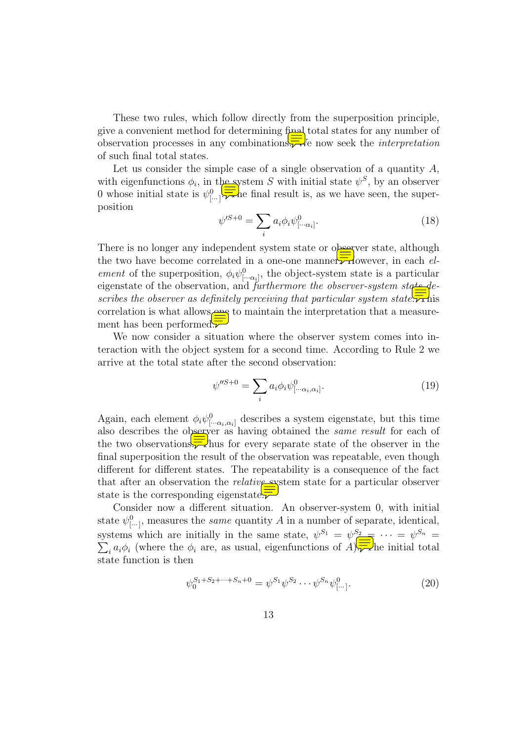These two rules, which follow directly from the superposition principle, give a convenient method for determining final total states for any number of observation processes in any combinations.  $\overline{\overline{\mathbf{y}}}$  how seek the *interpretation* of such final total states.

Let us consider the simple case of a single observation of a quantity  $A$ , with eigenfunctions  $\phi_i$ , in the system S with initial state  $\psi^S$ , by an observer 0 whose initial state is  $\psi^0_{[\cdots]}$ .  $\overline{\mathbf{Z}}$  he final result is, as we have seen, the superposition

$$
\psi^{\prime S+0} = \sum_{i} a_i \phi_i \psi^0_{[\cdots \alpha_i]}.\tag{18}
$$

There is no longer any independent system state or observer state, although the two have become correlated in a one-one manner. However, in each  $el$ ement of the superposition,  $\phi_i \psi_{[\cdots \alpha_i]}^0$ , the object-system state is a particular eigenstate of the observation, and  $\tilde{f}$ urthermore the observer-system state describes the observer as definitely perceiving that particular system state.  $\overline{\mathbf{r}}$  his correlation is what allows one to maintain the interpretation that a measurement has been performed.

We now consider a situation where the observer system comes into interaction with the object system for a second time. According to Rule 2 we arrive at the total state after the second observation:

$$
\psi^{\prime\prime S+0} = \sum_{i} a_i \phi_i \psi^0_{[\cdots \alpha_i, \alpha_i]}.
$$
\n(19)

Again, each element  $\phi_i \psi_{[\cdots \alpha_i,\alpha_i]}^0$  describes a system eigenstate, but this time also describes the observer as having obtained the *same result* for each of the two observations.  $\frac{1}{\sqrt{2}}$  hus for every separate state of the observer in the final superposition the result of the observation was repeatable, even though different for different states. The repeatability is a consequence of the fact that after an observation the *relative* system state for a particular observer state is the corresponding eigenstate.

Consider now a different situation. An observer-system 0, with initial state  $\psi^0_{[\dots]}$ , measures the *same* quantity A in a number of separate, identical, systems which are initially in the same state,  $\psi^{S_1} = \psi^{S_2} - \cdots = \psi^{S_n} =$  $\sum_i a_i \phi_i$  (where the  $\phi_i$  are, as usual, eigenfunctions of  $A$ ). The initial total state function is then

$$
\psi_0^{S_1 + S_2 + \dots + S_n + 0} = \psi^{S_1} \psi^{S_2} \cdots \psi^{S_n} \psi_{[\dots]}^0.
$$
\n(20)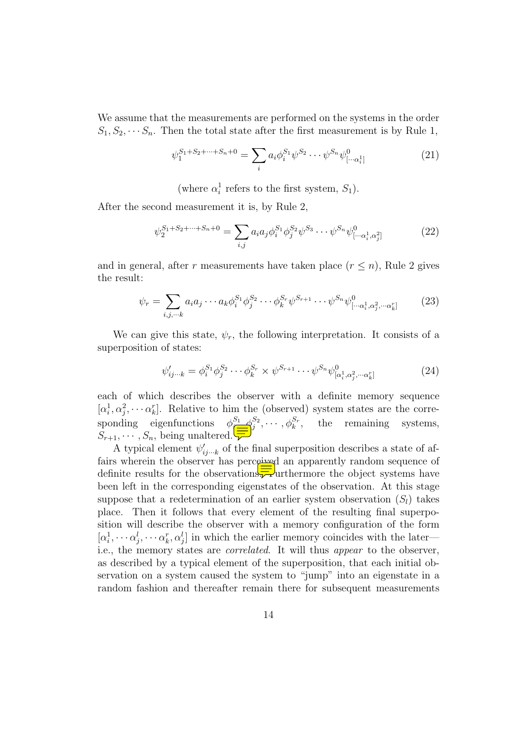We assume that the measurements are performed on the systems in the order  $S_1, S_2, \cdots S_n$ . Then the total state after the first measurement is by Rule 1,

$$
\psi_1^{S_1 + S_2 + \dots + S_n + 0} = \sum_i a_i \phi_i^{S_1} \psi^{S_2} \cdots \psi^{S_n} \psi_{[\cdots \alpha_i^1]}^0
$$
\n(21)

(where  $\alpha_i^1$  refers to the first system,  $S_1$ ).

After the second measurement it is, by Rule 2,

$$
\psi_2^{S_1 + S_2 + \dots + S_n + 0} = \sum_{i,j} a_i a_j \phi_i^{S_1} \phi_j^{S_2} \psi^{S_3} \cdots \psi^{S_n} \psi_{[\cdots \alpha_i^1, \alpha_j^2]}^0 \tag{22}
$$

and in general, after r measurements have taken place  $(r \leq n)$ , Rule 2 gives the result:

$$
\psi_r = \sum_{i,j,\dots,k} a_i a_j \cdots a_k \phi_i^{S_1} \phi_j^{S_2} \cdots \phi_k^{S_r} \psi^{S_{r+1}} \cdots \psi^{S_n} \psi_{\left[\dotsm \alpha_i^1, \alpha_j^2, \dotsm \alpha_k^r\right]}^0 \tag{23}
$$

We can give this state,  $\psi_r$ , the following interpretation. It consists of a superposition of states:

$$
\psi'_{ij\cdots k} = \phi_i^{S_1} \phi_j^{S_2} \cdots \phi_k^{S_r} \times \psi^{S_{r+1}} \cdots \psi^{S_n} \psi^0_{[\alpha_i^1, \alpha_j^2, \cdots \alpha_k^r]}
$$
(24)

each of which describes the observer with a definite memory sequence  $[\alpha_i^1, \alpha_j^2, \cdots \alpha_k^r]$ . Relative to him the (observed) system states are the corresponding eigenfunctions  $\phi_{\mathbf{i}}^{S_1} \phi_{\mathbf{j}}^{S_2}, \cdots, \phi_{\mathbf{k}}^{S_r}$ , the remaining systems,  $S_{r+1}, \cdots, S_n$ , being unaltered.

A typical element  $\psi'_{ij\cdots k}$  of the final superposition describes a state of affairs wherein the observer has perceived an apparently random sequence of definite results for the observations. Furthermore the object systems have been left in the corresponding eigenstates of the observation. At this stage suppose that a redetermination of an earlier system observation  $(S_l)$  takes place. Then it follows that every element of the resulting final superposition will describe the observer with a memory configuration of the form  $[\alpha_i^1, \cdots \alpha_j^l, \cdots \alpha_k^r, \alpha_j^l]$  in which the earlier memory coincides with the lateri.e., the memory states are correlated. It will thus appear to the observer, as described by a typical element of the superposition, that each initial observation on a system caused the system to "jump" into an eigenstate in a random fashion and thereafter remain there for subsequent measurements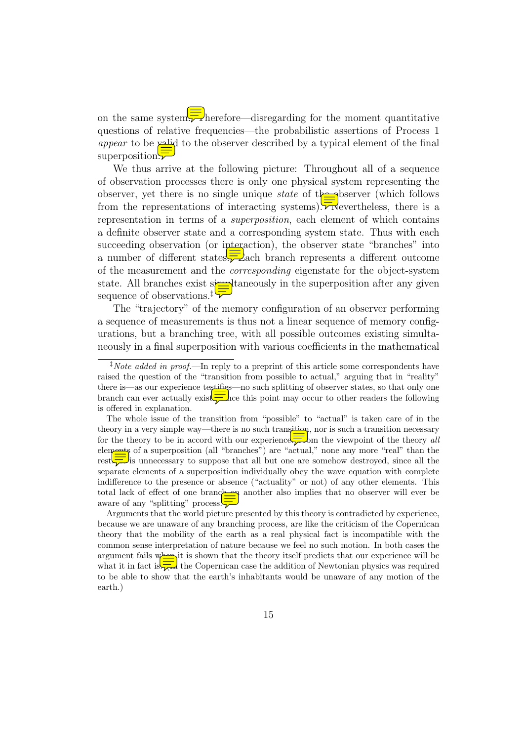on the same system.  $\sqrt{\frac{1}{n}}$  herefore—disregarding for the moment quantitative questions of relative frequencies—the probabilistic assertions of Process 1 appear to be  $y \triangleq \mathcal{V}$  to the observer described by a typical element of the final superposition.

We thus arrive at the following picture: Throughout all of a sequence of observation processes there is only one physical system representing the observer, yet there is no single unique *state* of the observer (which follows from the representations of interacting systems).  $\overline{\mathbf{v}}$  evertheless, there is a representation in terms of a superposition, each element of which contains a definite observer state and a corresponding system state. Thus with each succeeding observation (or ipteraction), the observer state "branches" into a number of different states.  $\sqrt{2}$  ach branch represents a different outcome of the measurement and the corresponding eigenstate for the object-system state. All branches exist simultaneously in the superposition after any given sequence of observations.<sup> $\ddagger \nabla$ </sup>

The "trajectory" of the memory configuration of an observer performing a sequence of measurements is thus not a linear sequence of memory configurations, but a branching tree, with all possible outcomes existing simultaneously in a final superposition with various coefficients in the mathematical

Arguments that the world picture presented by this theory is contradicted by experience, because we are unaware of any branching process, are like the criticism of the Copernican theory that the mobility of the earth as a real physical fact is incompatible with the common sense interpretation of nature because we feel no such motion. In both cases the argument fails when it is shown that the theory itself predicts that our experience will be what it in fact is.  $\frac{1}{\sqrt{1-\epsilon}}$  the Copernican case the addition of Newtonian physics was required to be able to show that the earth's inhabitants would be unaware of any motion of the earth.)

<sup>&</sup>lt;sup>‡</sup>Note added in proof.—In reply to a preprint of this article some correspondents have raised the question of the "transition from possible to actual," arguing that in "reality" there is—as our experience testifies—no such splitting of observer states, so that only one branch can ever actually exist $\frac{1}{\sqrt{2}}$  hce this point may occur to other readers the following is offered in explanation.

The whole issue of the transition from "possible" to "actual" is taken care of in the theory in a very simple way—there is no such transition, nor is such a transition necessary for the theory to be in accord with our experience. From the viewpoint of the theory all elements of a superposition (all "branches") are "actual," none any more "real" than the rest. It is unnecessary to suppose that all but one are somehow destroyed, since all the separate elements of a superposition individually obey the wave equation with complete indifference to the presence or absence ("actuality" or not) of any other elements. This total lack of effect of one branch on also implies that no observer will ever be aware of any "splitting" process.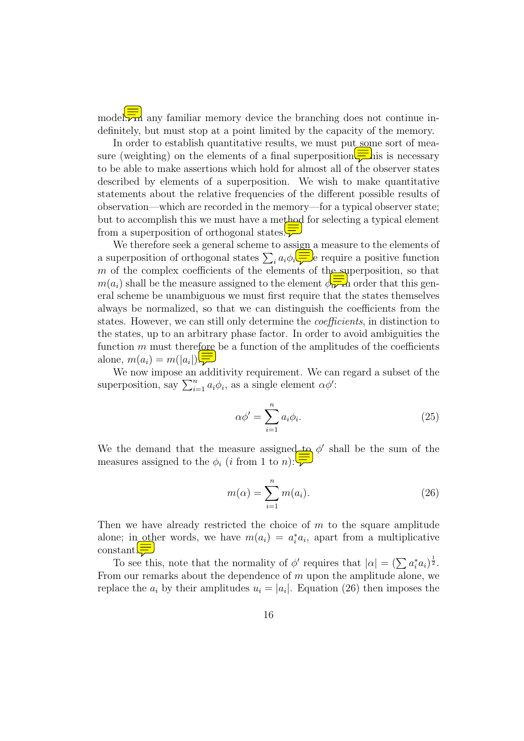model.  $\sqrt{\frac{1}{\sigma}}$  any familiar memory device the branching does not continue indefinitely, but must stop at a point limited by the capacity of the memory.

In order to establish quantitative results, we must put some sort of measure (weighting) on the elements of a final superposition.  $\frac{1}{\sqrt{2}}$  his is necessary to be able to make assertions which hold for almost all of the observer states described by elements of a superposition. We wish to make quantitative statements about the relative frequencies of the different possible results of observation—which are recorded in the memory—for a typical observer state; but to accomplish this we must have a method for selecting a typical element from a superposition of orthogonal states.

We therefore seek a general scheme to assign a measure to the elements of a superposition of orthogonal states  $\sum_i a_i \phi_i$   $\sqrt{\frac{1}{\sigma}}$  require a positive function m of the complex coefficients of the elements of the superposition, so that  $m(a_i)$  shall be the measure assigned to the element  $\phi_{\overline{i\bullet}}$  order that this general scheme be unambiguous we must first require that the states themselves always be normalized, so that we can distinguish the coefficients from the states. However, we can still only determine the coefficients, in distinction to the states, up to an arbitrary phase factor. In order to avoid ambiguities the function  $m$  must therefore be a function of the amplitudes of the coefficients alone,  $m(a_i) = m(|a_i|)$ !

We now impose an additivity requirement. We can regard a subset of the superposition, say  $\sum_{i=1}^{n} a_i \phi_i$ , as a single element  $\alpha \phi'$ :

$$
\alpha \phi' = \sum_{i=1}^{n} a_i \phi_i.
$$
 (25)

We the demand that the measure assigned to  $\phi'$  shall be the sum of the measures assigned to the  $\phi_i$  (*i* from 1 to *n*):

$$
m(\alpha) = \sum_{i=1}^{n} m(a_i). \tag{26}
$$

Then we have already restricted the choice of  $m$  to the square amplitude alone; in other words, we have  $m(a_i) = a_i^* a_i$ , apart from a multiplicative constant. $\sqrt{2}$ 

To see this, note that the normality of  $\phi'$  requires that  $|\alpha| = (\sum a_i^* a_i)^{\frac{1}{2}}$ . From our remarks about the dependence of  $m$  upon the amplitude alone, we replace the  $a_i$  by their amplitudes  $u_i = |a_i|$ . Equation (26) then imposes the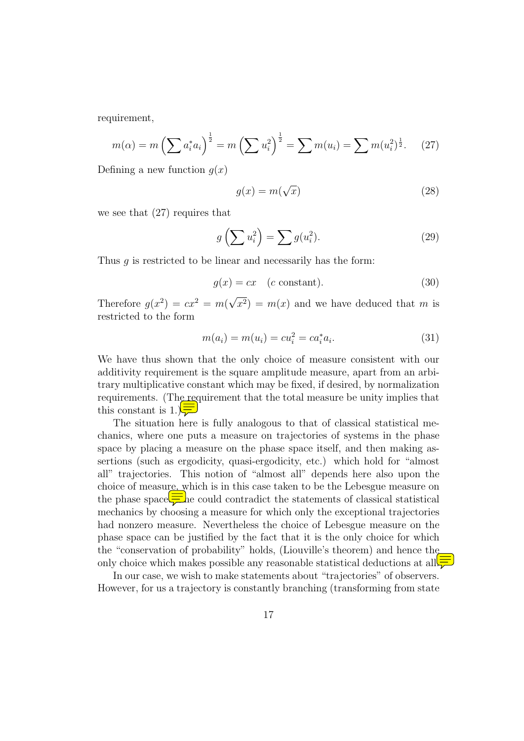requirement,

$$
m(\alpha) = m \left( \sum a_i^* a_i \right)^{\frac{1}{2}} = m \left( \sum u_i^2 \right)^{\frac{1}{2}} = \sum m(u_i) = \sum m(u_i^2)^{\frac{1}{2}}.
$$
 (27)

Defining a new function  $g(x)$ 

$$
g(x) = m(\sqrt{x})
$$
 (28)

we see that (27) requires that

$$
g\left(\sum u_i^2\right) = \sum g(u_i^2). \tag{29}
$$

Thus q is restricted to be linear and necessarily has the form:

$$
g(x) = cx \quad (c \text{ constant}). \tag{30}
$$

Therefore  $g(x^2) = cx^2 = m(x)$ √  $(x^2) = m(x)$  and we have deduced that m is restricted to the form

$$
m(a_i) = m(u_i) = cu_i^2 = ca_i^* a_i.
$$
\n(31)

We have thus shown that the only choice of measure consistent with our additivity requirement is the square amplitude measure, apart from an arbitrary multiplicative constant which may be fixed, if desired, by normalization requirements. (The requirement that the total measure be unity implies that this constant is  $1.\sqrt{\frac{1}{n}}$ 

The situation here is fully analogous to that of classical statistical mechanics, where one puts a measure on trajectories of systems in the phase space by placing a measure on the phase space itself, and then making assertions (such as ergodicity, quasi-ergodicity, etc.) which hold for "almost all" trajectories. This notion of "almost all" depends here also upon the choice of measure, which is in this case taken to be the Lebesgue measure on the phase space.  $\equiv$ he could contradict the statements of classical statistical mechanics by choosing a measure for which only the exceptional trajectories had nonzero measure. Nevertheless the choice of Lebesgue measure on the phase space can be justified by the fact that it is the only choice for which the "conservation of probability" holds, (Liouville's theorem) and hence the only choice which makes possible any reasonable statistical deductions at all.

In our case, we wish to make statements about "trajectories" of observers. However, for us a trajectory is constantly branching (transforming from state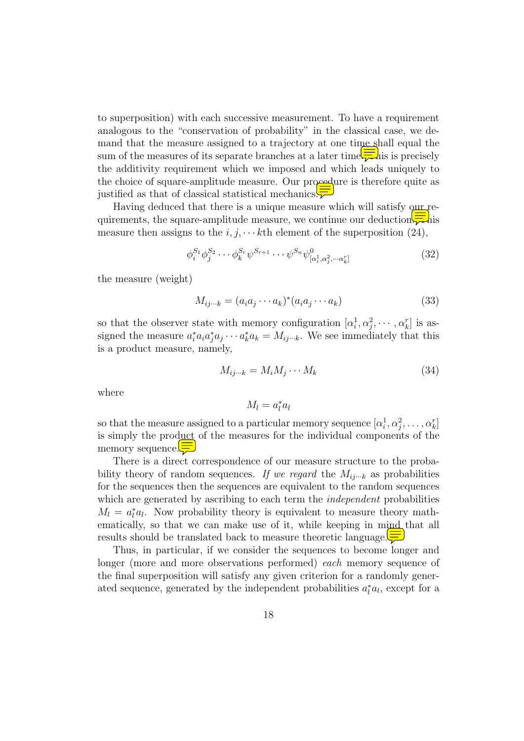to superposition) with each successive measurement. To have a requirement analogous to the "conservation of probability" in the classical case, we demand that the measure assigned to a trajectory at one time shall equal the sum of the measures of its separate branches at a later time.  $\frac{1}{\sqrt{1-\lambda}}$  his is precisely the additivity requirement which we imposed and which leads uniquely to the choice of square-amplitude measure. Our procedure is therefore quite as justified as that of classical statistical mechanics.

Having deduced that there is a unique measure which will satisfy our requirements, the square-amplitude measure, we continue our deduction.  $\sqrt{1-\lambda}$  his measure then assigns to the  $i, j, \dots k$ th element of the superposition (24),

$$
\phi_i^{S_1} \phi_j^{S_2} \cdots \phi_k^{S_r} \psi^{S_{r+1}} \cdots \psi^{S_n} \psi_{[\alpha_i^1, \alpha_j^2, \cdots \alpha_k^r]}^0 \tag{32}
$$

the measure (weight)

$$
M_{ij\cdots k} = (a_i a_j \cdots a_k)^* (a_i a_j \cdots a_k)
$$
\n(33)

so that the observer state with memory configuration  $[\alpha_i^1, \alpha_j^2, \cdots, \alpha_k^r]$  is assigned the measure  $a_i^* a_i a_j^* a_j \cdots a_k^* a_k = M_{ij \cdots k}$ . We see immediately that this is a product measure, namely,

$$
M_{ij\cdots k} = M_i M_j \cdots M_k \tag{34}
$$

where

$$
M_l = a_l^* a_l
$$

so that the measure assigned to a particular memory sequence  $[\alpha_i^1, \alpha_j^2, \ldots, \alpha_k^r]$ is simply the product of the measures for the individual components of the memory sequence. $\sqrt{\frac{1}{n}}$ 

There is a direct correspondence of our measure structure to the probability theory of random sequences. If we regard the  $M_{ij\cdots k}$  as probabilities for the sequences then the sequences are equivalent to the random sequences which are generated by ascribing to each term the *independent* probabilities  $M_l = a_l^* a_l$ . Now probability theory is equivalent to measure theory mathematically, so that we can make use of it, while keeping in mind that all results should be translated back to measure theoretic language.

Thus, in particular, if we consider the sequences to become longer and longer (more and more observations performed) each memory sequence of the final superposition will satisfy any given criterion for a randomly generated sequence, generated by the independent probabilities  $a_l^* a_l$ , except for a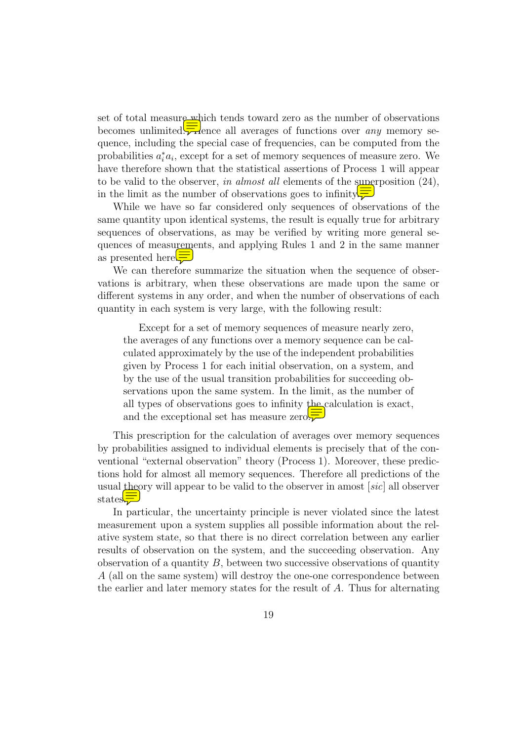set of total measure which tends toward zero as the number of observations becomes unlimited. Hence all averages of functions over *any* memory sequence, including the special case of frequencies, can be computed from the probabilities  $a_i^* a_i$ , except for a set of memory sequences of measure zero. We have therefore shown that the statistical assertions of Process 1 will appear to be valid to the observer, in almost all elements of the superposition  $(24)$ , in the limit as the number of observations goes to infinity.

While we have so far considered only sequences of observations of the same quantity upon identical systems, the result is equally true for arbitrary sequences of observations, as may be verified by writing more general sequences of measurements, and applying Rules 1 and 2 in the same manner as presented here $\sqrt{2}$ 

We can therefore summarize the situation when the sequence of observations is arbitrary, when these observations are made upon the same or different systems in any order, and when the number of observations of each quantity in each system is very large, with the following result:

Except for a set of memory sequences of measure nearly zero, the averages of any functions over a memory sequence can be calculated approximately by the use of the independent probabilities given by Process 1 for each initial observation, on a system, and by the use of the usual transition probabilities for succeeding observations upon the same system. In the limit, as the number of all types of observations goes to infinity the calculation is exact, and the exceptional set has measure zero.

This prescription for the calculation of averages over memory sequences by probabilities assigned to individual elements is precisely that of the conventional "external observation" theory (Process 1). Moreover, these predictions hold for almost all memory sequences. Therefore all predictions of the usual theory will appear to be valid to the observer in amost [sic] all observer states $\sqrt{\frac{1}{n}}$ 

In particular, the uncertainty principle is never violated since the latest measurement upon a system supplies all possible information about the relative system state, so that there is no direct correlation between any earlier results of observation on the system, and the succeeding observation. Any observation of a quantity  $B$ , between two successive observations of quantity A (all on the same system) will destroy the one-one correspondence between the earlier and later memory states for the result of  $A$ . Thus for alternating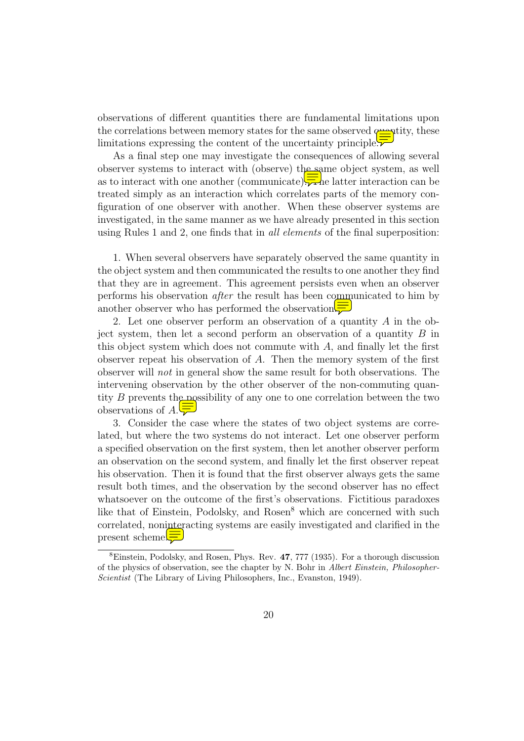observations of different quantities there are fundamental limitations upon the correlations between memory states for the same observed  $q_{\text{max}}$  tity, these limitations expressing the content of the uncertainty principle.

As a final step one may investigate the consequences of allowing several observer systems to interact with (observe) the same object system, as well as to interact with one another (communicate). The latter interaction can be treated simply as an interaction which correlates parts of the memory configuration of one observer with another. When these observer systems are investigated, in the same manner as we have already presented in this section using Rules 1 and 2, one finds that in *all elements* of the final superposition:

1. When several observers have separately observed the same quantity in the object system and then communicated the results to one another they find that they are in agreement. This agreement persists even when an observer performs his observation after the result has been communicated to him by another observer who has performed the observation.

2. Let one observer perform an observation of a quantity A in the object system, then let a second perform an observation of a quantity  $B$  in this object system which does not commute with  $A$ , and finally let the first observer repeat his observation of A. Then the memory system of the first observer will not in general show the same result for both observations. The intervening observation by the other observer of the non-commuting quantity  $B$  prevents the possibility of any one to one correlation between the two observations of  $A.\overline{\overline{\phantom{A}}\phantom{A}}$ 

3. Consider the case where the states of two object systems are correlated, but where the two systems do not interact. Let one observer perform a specified observation on the first system, then let another observer perform an observation on the second system, and finally let the first observer repeat his observation. Then it is found that the first observer always gets the same result both times, and the observation by the second observer has no effect whatsoever on the outcome of the first's observations. Fictitious paradoxes like that of Einstein, Podolsky, and  $Rosen^8$  which are concerned with such correlated, noninteracting systems are easily investigated and clarified in the present scheme. $\equiv$ 

<sup>8</sup>Einstein, Podolsky, and Rosen, Phys. Rev. 47, 777 (1935). For a thorough discussion of the physics of observation, see the chapter by N. Bohr in Albert Einstein, Philosopher-Scientist (The Library of Living Philosophers, Inc., Evanston, 1949).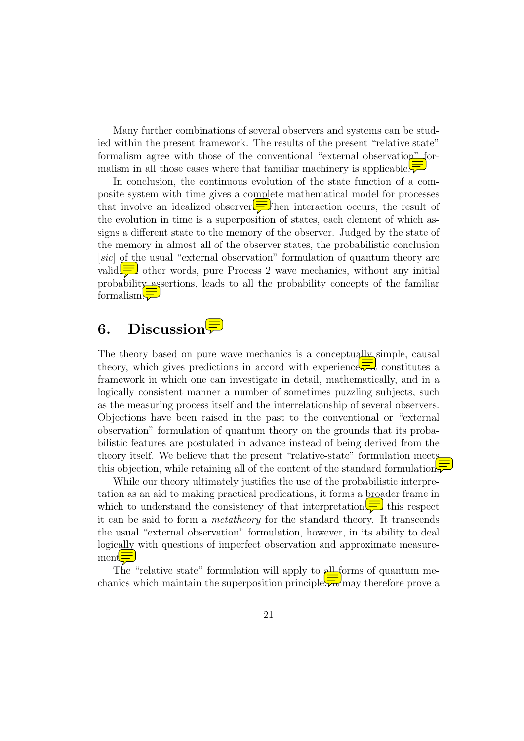Many further combinations of several observers and systems can be studied within the present framework. The results of the present "relative state" formalism agree with those of the conventional "external observation" formalism in all those cases where that familiar machinery is applicable.

In conclusion, the continuous evolution of the state function of a composite system with time gives a complete mathematical model for processes that involve an idealized observer.  $\frac{1}{\sqrt{2}}$  hen interaction occurs, the result of the evolution in time is a superposition of states, each element of which assigns a different state to the memory of the observer. Judged by the state of the memory in almost all of the observer states, the probabilistic conclusion [sic] of the usual "external observation" formulation of quantum theory are valid $\equiv$  other words, pure Process 2 wave mechanics, without any initial probability assertions, leads to all the probability concepts of the familiar formalism. $\sqrt{2}$ 

## 6. Discussion $\overline{\overline{\Xi}}$

The theory based on pure wave mechanics is a conceptually simple, causal theory, which gives predictions in accord with experience.  $\frac{1}{\sqrt{1}}$  constitutes a framework in which one can investigate in detail, mathematically, and in a logically consistent manner a number of sometimes puzzling subjects, such as the measuring process itself and the interrelationship of several observers. Objections have been raised in the past to the conventional or "external observation" formulation of quantum theory on the grounds that its probabilistic features are postulated in advance instead of being derived from the theory itself. We believe that the present "relative-state" formulation meets this objection, while retaining all of the content of the standard formulation.

While our theory ultimately justifies the use of the probabilistic interpretation as an aid to making practical predications, it forms a broader frame in which to understand the consistency of that interpretation.  $\equiv$  this respect it can be said to form a metatheory for the standard theory. It transcends the usual "external observation" formulation, however, in its ability to deal logically with questions of imperfect observation and approximate measure- $\text{men}(\equiv$ 

The "relative state" formulation will apply to **all** forms of quantum mechanics which maintain the superposition principle.  $\overline{A}$  may therefore prove a